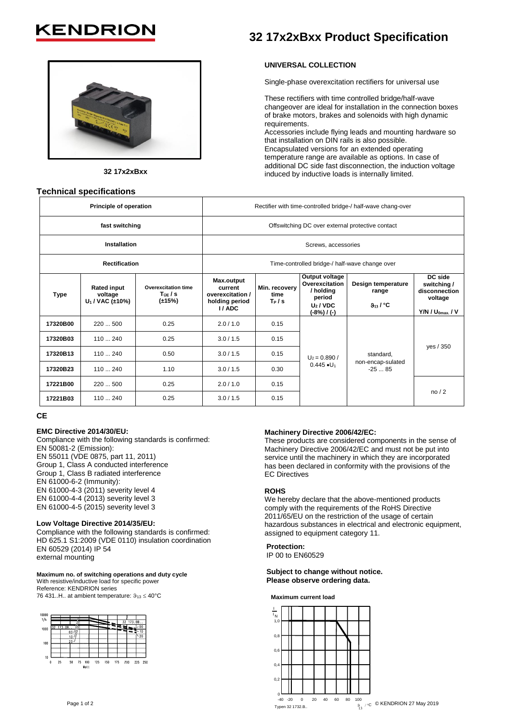# **KENDRIO**



**32 17x2xBxx**

### **Technical specifications**

## **32 17x2xBxx Product Specification**

#### **UNIVERSAL COLLECTION**

Single-phase overexcitation rectifiers for universal use

These rectifiers with time controlled bridge/half-wave changeover are ideal for installation in the connection boxes of brake motors, brakes and solenoids with high dynamic requirements.

Accessories include flying leads and mounting hardware so that installation on DIN rails is also possible. Encapsulated versions for an extended operating temperature range are available as options. In case of additional DC side fast disconnection, the induction voltage induced by inductive loads is internally limited.

| Principle of operation |                                                     |                                                     | Rectifier with time-controlled bridge-/ half-wave chang-over         |                                  |                                                                                       |                                                        |                                                                            |
|------------------------|-----------------------------------------------------|-----------------------------------------------------|----------------------------------------------------------------------|----------------------------------|---------------------------------------------------------------------------------------|--------------------------------------------------------|----------------------------------------------------------------------------|
| fast switching         |                                                     |                                                     | Offswitching DC over external protective contact                     |                                  |                                                                                       |                                                        |                                                                            |
| Installation           |                                                     |                                                     | Screws, accessories                                                  |                                  |                                                                                       |                                                        |                                                                            |
| <b>Rectification</b>   |                                                     |                                                     | Time-controlled bridge-/ half-wave change over                       |                                  |                                                                                       |                                                        |                                                                            |
| <b>Type</b>            | <b>Rated input</b><br>voltage<br>$U_1 / VAC (±10%)$ | <b>Overexcitation time</b><br>T0E/S<br>$(\pm 15\%)$ | Max.output<br>current<br>overexcitation /<br>holding period<br>I/ADC | Min. recovery<br>time<br>$T_P/s$ | Output voltage<br>Overexcitation<br>/ holding<br>period<br>$U_2/VDC$<br>$(-8%) / (-)$ | Design temperature<br>range<br>$9_{13}$ / $^{\circ}$ C | DC side<br>switching /<br>disconnection<br>voltage<br>$Y/N / U_{0max} / V$ |
| 17320B00               | 220500                                              | 0.25                                                | 2.0/1.0                                                              | 0.15                             | $U_2 = 0.890 /$<br>$0.445 \cdot U_1$                                                  | standard,<br>non-encap-sulated<br>$-2585$              |                                                                            |
| 17320B03               | 110  240                                            | 0.25                                                | 3.0 / 1.5                                                            | 0.15                             |                                                                                       |                                                        |                                                                            |
| 17320B13               | 110240                                              | 0.50                                                | 3.0 / 1.5                                                            | 0.15                             |                                                                                       |                                                        | yes / 350                                                                  |
| 17320B23               | 110240                                              | 1.10                                                | 3.0/1.5                                                              | 0.30                             |                                                                                       |                                                        |                                                                            |
| 17221B00               | 220  500                                            | 0.25                                                | 2.0 / 1.0                                                            | 0.15                             |                                                                                       |                                                        | no/2                                                                       |
| 17221B03               | 110  240                                            | 0.25                                                | 3.0/1.5                                                              | 0.15                             |                                                                                       |                                                        |                                                                            |

## **CE**

#### **EMC Directive 2014/30/EU:**

Compliance with the following standards is confirmed: EN 50081-2 (Emission): EN 55011 (VDE 0875, part 11, 2011) Group 1, Class A conducted interference Group 1, Class B radiated interference EN 61000-6-2 (Immunity): EN 61000-4-3 (2011) severity level 4 EN 61000-4-4 (2013) severity level 3 EN 61000-4-5 (2015) severity level 3

#### **Low Voltage Directive 2014/35/EU:**

Compliance with the following standards is confirmed: HD 625.1 S1:2009 (VDE 0110) insulation coordination EN 60529 (2014) IP 54 external mounting

#### **Maximum no. of switching operations and duty cycle** With resistive/inductive load for specific power

Reference: KENDRION series

76 431..H.. at ambient temperature:  $9_{13} \le 40^{\circ}$ C



#### **Machinery Directive 2006/42/EC:**

These products are considered components in the sense of Machinery Directive 2006/42/EC and must not be put into service until the machinery in which they are incorporated has been declared in conformity with the provisions of the EC Directives

#### **ROHS**

We hereby declare that the above-mentioned products comply with the requirements of the RoHS Directive 2011/65/EU on the restriction of the usage of certain hazardous substances in electrical and electronic equipment, assigned to equipment category 11.

**Protection:** IP 00 to EN60529

**Subject to change without notice. Please observe ordering data.**